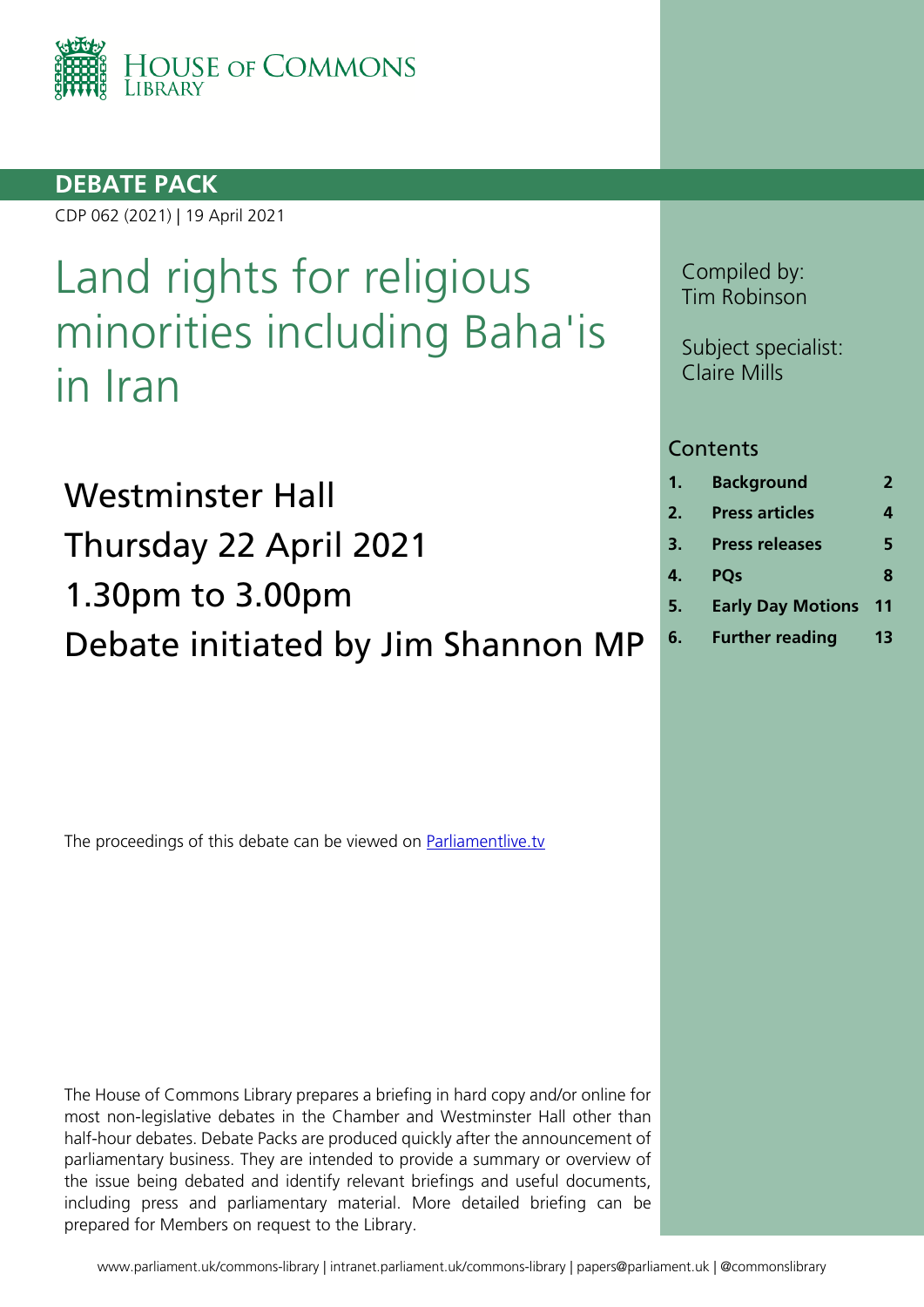

# **DEBATE PACK**

CDP 062 (2021) | 19 April 2021

# Land rights for religious minorities including Baha'is in Iran

Westminster Hall Thursday 22 April 2021 1.30pm to 3.00pm Debate initiated by Jim Shannon MP

The proceedings of this debate can be viewed on [Parliamentlive.tv](https://www.parliamentlive.tv/Event/Index/840196fb-328b-40ef-8ad9-9985aa971827)

The House of Commons Library prepares a briefing in hard copy and/or online for most non-legislative debates in the Chamber and Westminster Hall other than half-hour debates. Debate Packs are produced quickly after the announcement of parliamentary business. They are intended to provide a summary or overview of the issue being debated and identify relevant briefings and useful documents, including press and parliamentary material. More detailed briefing can be prepared for Members on request to the Library.

Compiled by: Tim Robinson

Subject specialist: Claire Mills

# **Contents**

| 1.           | <b>Background</b>        | $\overline{2}$ |
|--------------|--------------------------|----------------|
| 2.           | <b>Press articles</b>    | 4              |
| 3.           | <b>Press releases</b>    | 5              |
| $\mathbf{4}$ | <b>POs</b>               | 8              |
| 5.           | <b>Early Day Motions</b> | 11             |
| 6.           | <b>Further reading</b>   | 13             |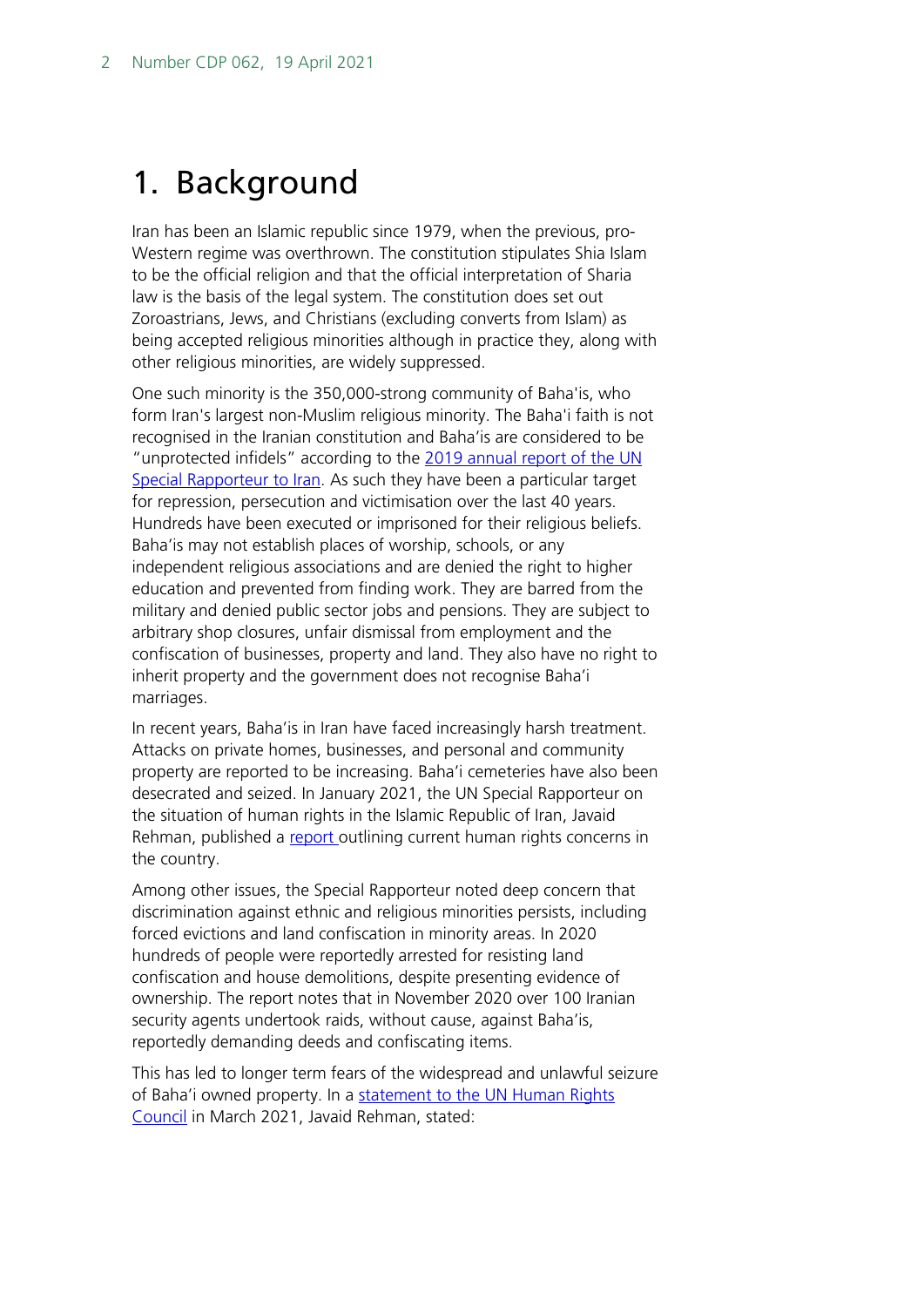# <span id="page-1-0"></span>1. Background

Iran has been an Islamic republic since 1979, when the previous, pro-Western regime was overthrown. The constitution stipulates Shia Islam to be the official religion and that the official interpretation of Sharia law is the basis of the legal system. The constitution does set out Zoroastrians, Jews, and Christians (excluding converts from Islam) as being accepted religious minorities although in practice they, along with other religious minorities, are widely suppressed.

One such minority is the 350,000-strong community of Baha'is, who form Iran's largest non-Muslim religious minority. The Baha'i faith is not recognised in the Iranian constitution and Baha'is are considered to be "unprotected infidels" according to the [2019 annual report of the UN](https://undocs.org/pdf?symbol=en/A/74/188)  [Special Rapporteur to Iran.](https://undocs.org/pdf?symbol=en/A/74/188) As such they have been a particular target for repression, persecution and victimisation over the last 40 years. Hundreds have been executed or imprisoned for their religious beliefs. Baha'is may not establish places of worship, schools, or any independent religious associations and are denied the right to higher education and prevented from finding work. They are barred from the military and denied public sector jobs and pensions. They are subject to arbitrary shop closures, unfair dismissal from employment and the confiscation of businesses, property and land. They also have no right to inherit property and the government does not recognise Baha'i marriages.

In recent years, Baha'is in Iran have faced increasingly harsh treatment. Attacks on private homes, businesses, and personal and community property are reported to be increasing. Baha'i cemeteries have also been desecrated and seized. In January 2021, the UN Special Rapporteur on the situation of human rights in the Islamic Republic of Iran, Javaid Rehman, published a [report o](https://undocs.org/en/A/hrc/46/50)utlining current human rights concerns in the country.

Among other issues, the Special Rapporteur noted deep concern that discrimination against ethnic and religious minorities persists, including forced evictions and land confiscation in minority areas. In 2020 hundreds of people were reportedly arrested for resisting land confiscation and house demolitions, despite presenting evidence of ownership. The report notes that in November 2020 over 100 Iranian security agents undertook raids, without cause, against Baha'is, reportedly demanding deeds and confiscating items.

This has led to longer term fears of the widespread and unlawful seizure of Baha'i owned property. In a [statement to the UN Human Rights](https://www.ohchr.org/en/NewsEvents/Pages/DisplayNews.aspx?NewsID=26869&LangID=E)  [Council](https://www.ohchr.org/en/NewsEvents/Pages/DisplayNews.aspx?NewsID=26869&LangID=E) in March 2021, Javaid Rehman, stated: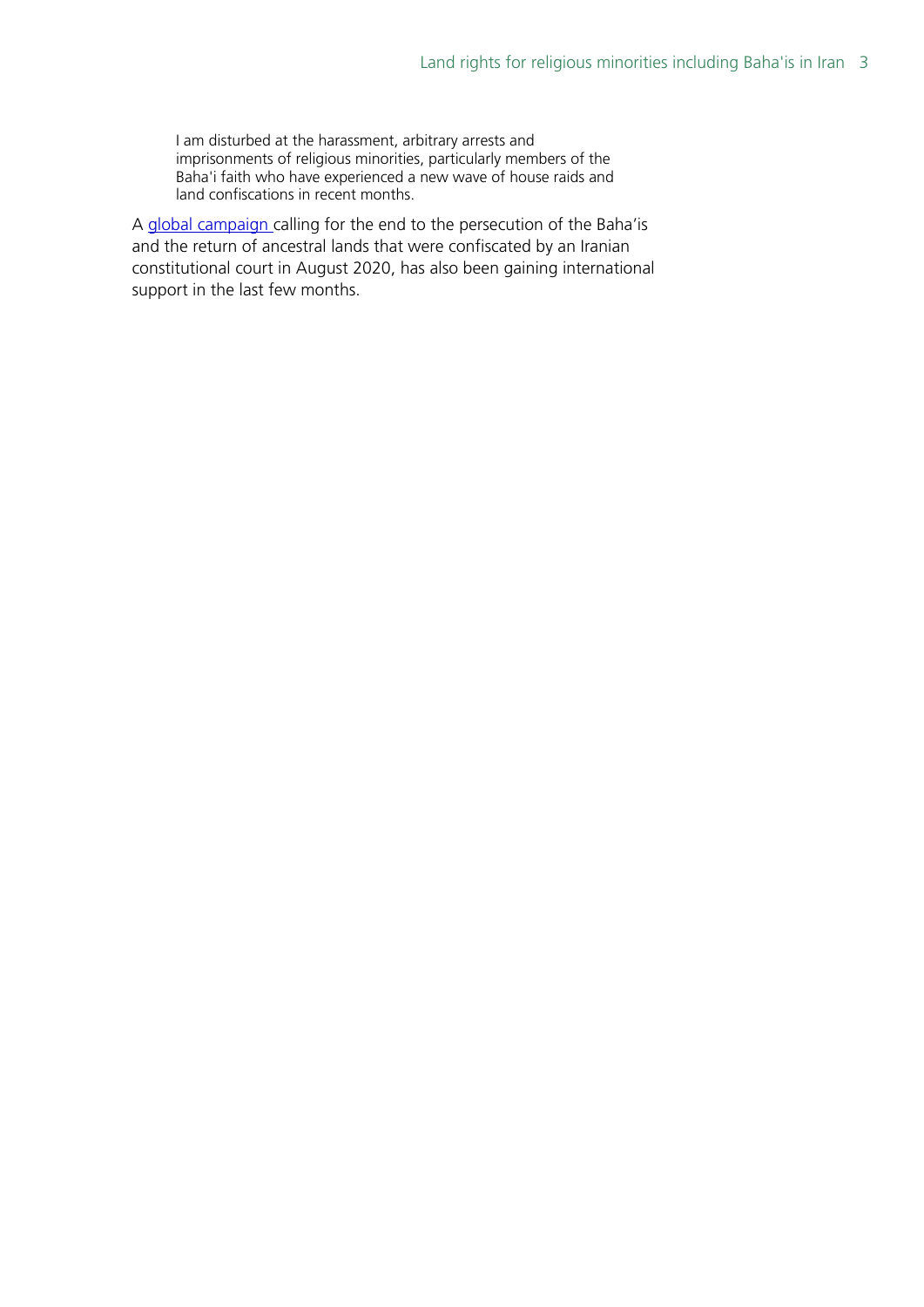I am disturbed at the harassment, arbitrary arrests and imprisonments of religious minorities, particularly members of the Baha'i faith who have experienced a new wave of house raids and land confiscations in recent months.

A [global campaign c](https://www.youtube.com/watch?v=-TWoyFUzUIE)alling for the end to the persecution of the Baha'is and the return of ancestral lands that were confiscated by an Iranian constitutional court in August 2020, has also been gaining international support in the last few months.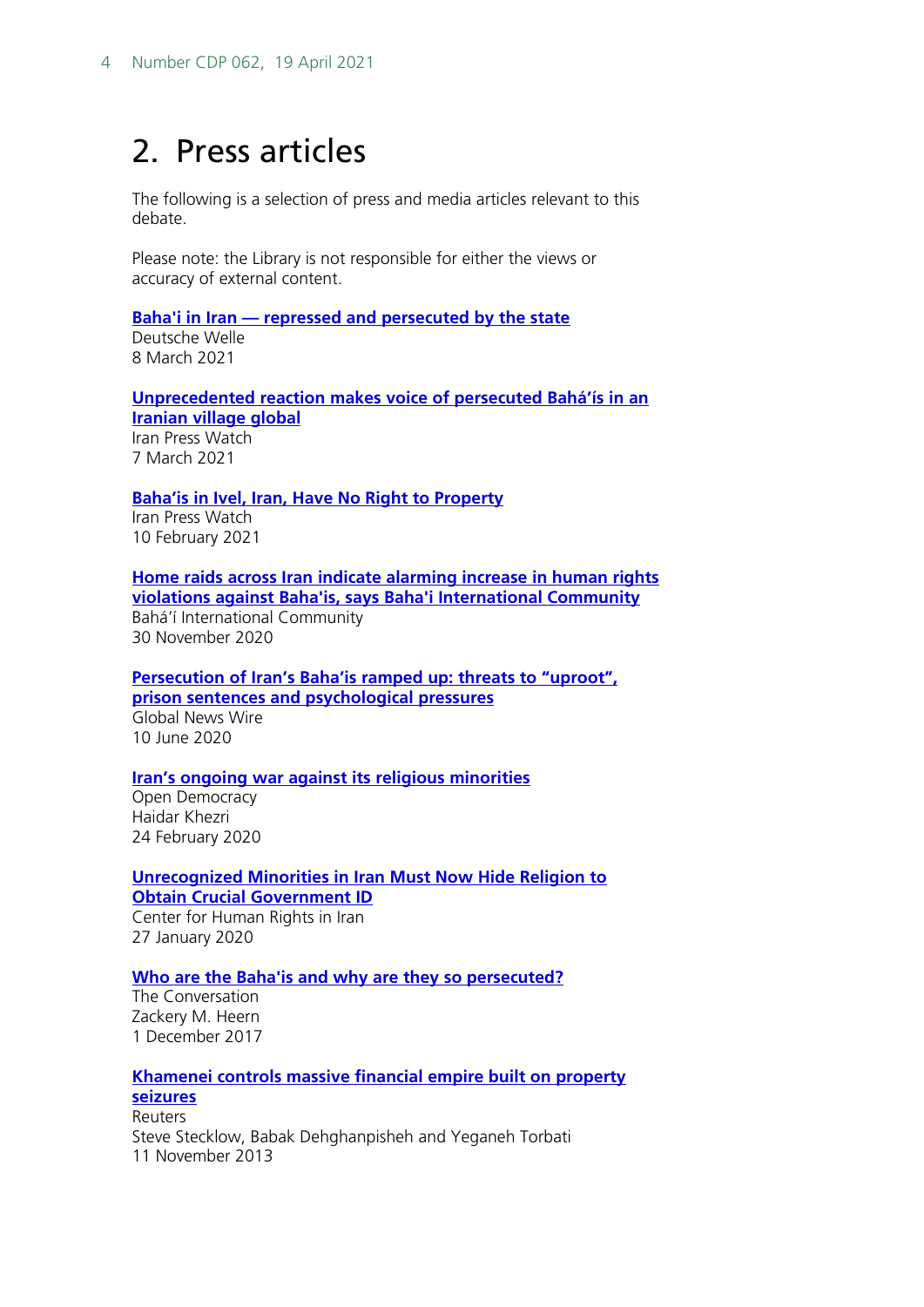# <span id="page-3-0"></span>2. Press articles

The following is a selection of press and media articles relevant to this debate.

Please note: the Library is not responsible for either the views or accuracy of external content.

#### **Baha'i in Iran — [repressed and persecuted by the state](https://www.dw.com/en/bahai-in-iran-repressed-and-persecuted-by-the-state/a-56803811)**

Deutsche Welle 8 March 2021

**[Unprecedented reaction makes voice of persecuted Bahá'ís in an](https://news.bahai.org/story/1495/)  [Iranian village global](https://news.bahai.org/story/1495/)** Iran Press Watch 7 March 2021

### **[Baha'is in Ivel, Iran, Have No Right to Property](http://iranpresswatch.org/post/21845/bahais-ivel-iran-no-right-property/)**

Iran Press Watch 10 February 2021

**[Home raids across Iran indicate alarming increase in human rights](https://www.bic.org/news/home-raids-across-iran-indicate-alarming-increase-human-rights-violations-against-bahais-says-bahai-international-community)  [violations against Baha'is, says Baha'i International Community](https://www.bic.org/news/home-raids-across-iran-indicate-alarming-increase-human-rights-violations-against-bahais-says-bahai-international-community)** Bahá'í International Community 30 November 2020

**[Persecution of Iran's Baha'is ramped up: threats to "uproot",](https://www.globenewswire.com/news-release/2020/06/10/2046440/0/en/Persecution-of-Iran-s-Baha-is-ramped-up-threats-to-uproot-prison-sentences-and-psychological-pressures.html)  [prison sentences and psychological pressures](https://www.globenewswire.com/news-release/2020/06/10/2046440/0/en/Persecution-of-Iran-s-Baha-is-ramped-up-threats-to-uproot-prison-sentences-and-psychological-pressures.html)**

Global News Wire 10 June 2020

### **[Iran's ongoing war against its religious minorities](https://www.opendemocracy.net/en/north-africa-west-asia/irans-ongoing-war-against-its-religious-minorities/)**

Open Democracy Haidar Khezri 24 February 2020

**[Unrecognized Minorities in Iran Must Now Hide Religion to](https://iranhumanrights.org/2020/01/bahais-unrecognized-minorities-in-iran-must-now-hide-religion-to-obtain-government-id/)  [Obtain Crucial Government ID](https://iranhumanrights.org/2020/01/bahais-unrecognized-minorities-in-iran-must-now-hide-religion-to-obtain-government-id/)**

Center for Human Rights in Iran 27 January 2020

# **[Who are the Baha'is and why are they so persecuted?](https://theconversation.com/who-are-the-bahais-and-why-are-they-so-persecuted-84042)**

The Conversation Zackery M. Heern 1 December 2017

# **[Khamenei controls massive financial empire built on property](https://www.reuters.com/investigates/iran/#article/part1)  [seizures](https://www.reuters.com/investigates/iran/#article/part1)**

Reuters Steve Stecklow, Babak Dehghanpisheh and Yeganeh Torbati 11 November 2013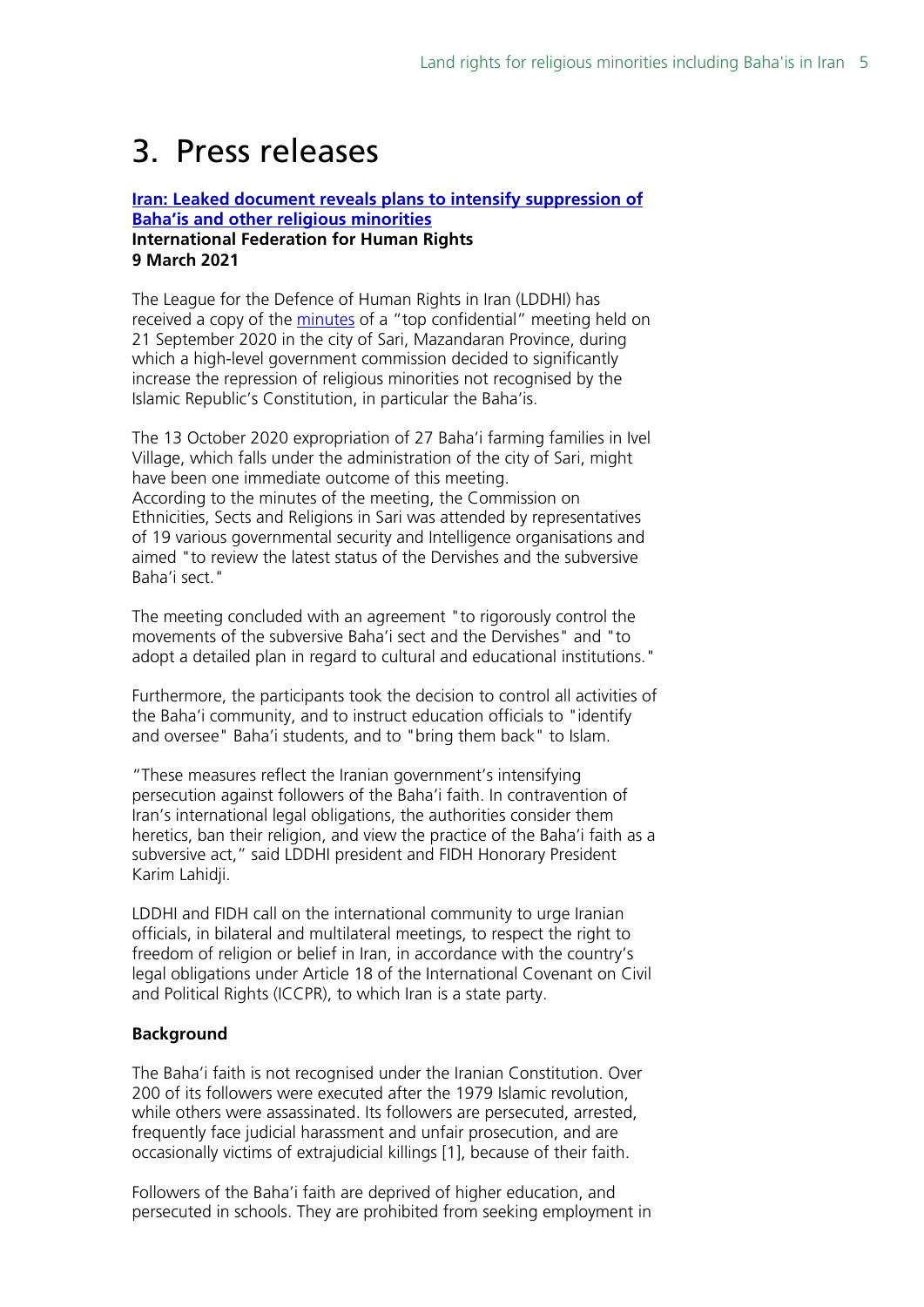# <span id="page-4-0"></span>3. Press releases

### **Iran: Leaked document [reveals plans to intensify suppression of](https://www.fidh.org/en/region/asia/iran/iran-leaked-document-reveals-plans-to-intensify-suppression-of-baha)  [Baha'is and other religious minorities](https://www.fidh.org/en/region/asia/iran/iran-leaked-document-reveals-plans-to-intensify-suppression-of-baha) International Federation for Human Rights 9 March 2021**

The League for the Defence of Human Rights in Iran (LDDHI) has received a copy of the [minutes](https://www.fidh.org/IMG/pdf/doc-eng.pdf) of a "top confidential" meeting held on 21 September 2020 in the city of Sari, Mazandaran Province, during which a high-level government commission decided to significantly increase the repression of religious minorities not recognised by the Islamic Republic's Constitution, in particular the Baha'is.

The 13 October 2020 expropriation of 27 Baha'i farming families in Ivel Village, which falls under the administration of the city of Sari, might have been one immediate outcome of this meeting. According to the minutes of the meeting, the Commission on Ethnicities, Sects and Religions in Sari was attended by representatives of 19 various governmental security and Intelligence organisations and aimed "to review the latest status of the Dervishes and the subversive Baha'i sect."

The meeting concluded with an agreement "to rigorously control the movements of the subversive Baha'i sect and the Dervishes" and "to adopt a detailed plan in regard to cultural and educational institutions."

Furthermore, the participants took the decision to control all activities of the Baha'i community, and to instruct education officials to "identify and oversee" Baha'i students, and to "bring them back" to Islam.

"These measures reflect the Iranian government's intensifying persecution against followers of the Baha'i faith. In contravention of Iran's international legal obligations, the authorities consider them heretics, ban their religion, and view the practice of the Baha'i faith as a subversive act," said LDDHI president and FIDH Honorary President Karim Lahidji.

LDDHI and FIDH call on the international community to urge Iranian officials, in bilateral and multilateral meetings, to respect the right to freedom of religion or belief in Iran, in accordance with the country's legal obligations under Article 18 of the International Covenant on Civil and Political Rights (ICCPR), to which Iran is a state party.

# **Background**

The Baha'i faith is not recognised under the Iranian Constitution. Over 200 of its followers were executed after the 1979 Islamic revolution, while others were assassinated. Its followers are persecuted, arrested, frequently face judicial harassment and unfair prosecution, and are occasionally victims of extrajudicial killings [1], because of their faith.

Followers of the Baha'i faith are deprived of higher education, and persecuted in schools. They are prohibited from seeking employment in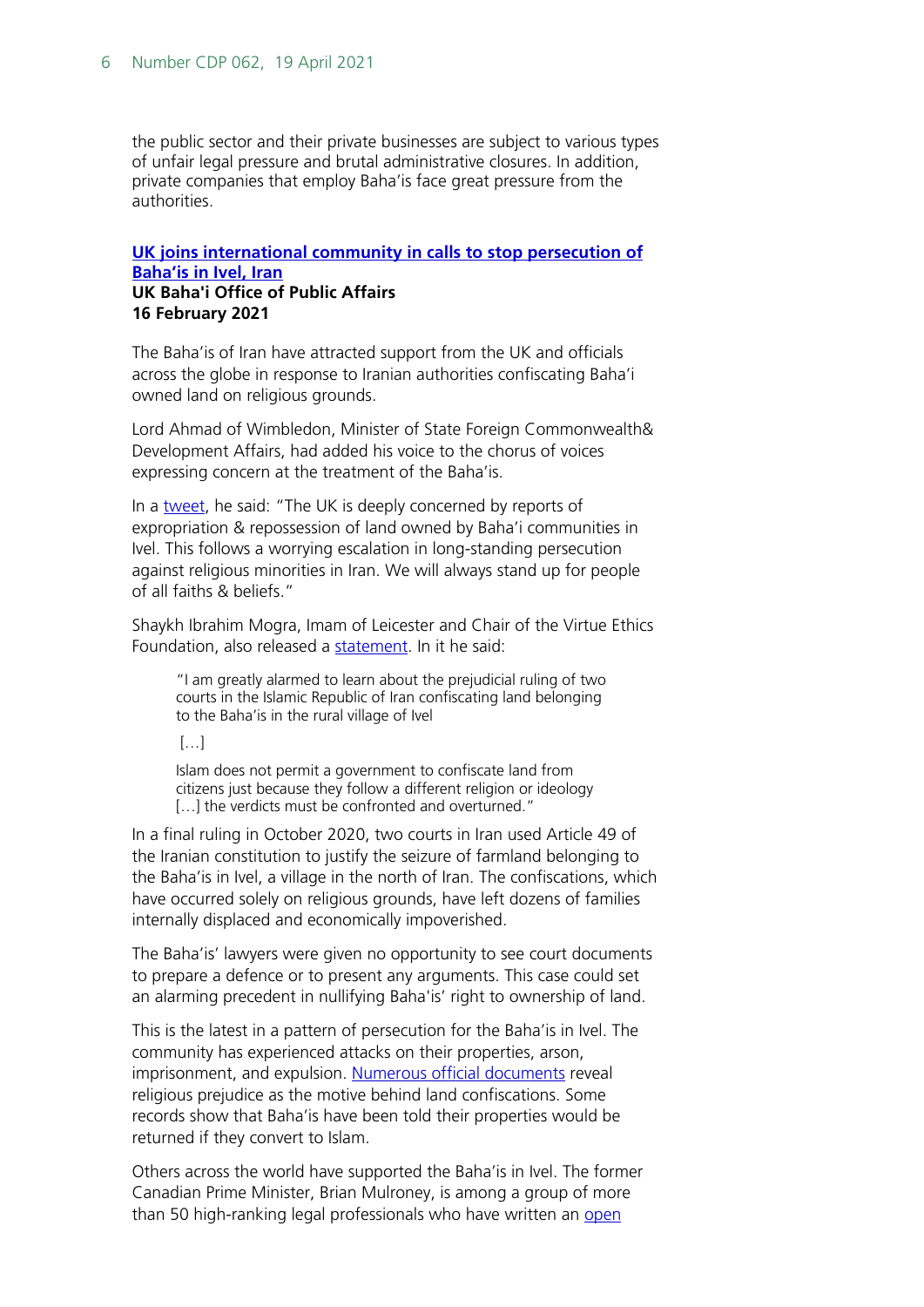the public sector and their private businesses are subject to various types of unfair legal pressure and brutal administrative closures. In addition, private companies that employ Baha'is face great pressure from the authorities.

# **[UK joins international community in calls to stop persecution of](https://www.publicaffairs.bahai.org.uk/single-post/press-release-uk-joins-international-community-in-calls-to-stop-persecution-of-baha-is-in-ivel-iran)  [Baha'is in Ivel, Iran](https://www.publicaffairs.bahai.org.uk/single-post/press-release-uk-joins-international-community-in-calls-to-stop-persecution-of-baha-is-in-ivel-iran) UK Baha'i Office of Public Affairs 16 February 2021**

The Baha'is of Iran have attracted support from the UK and officials across the globe in response to Iranian authorities confiscating Baha'i owned land on religious grounds.

Lord Ahmad of Wimbledon, Minister of State Foreign Commonwealth& Development Affairs, had added his voice to the chorus of voices expressing concern at the treatment of the Baha'is.

In a [tweet,](https://twitter.com/tariqahmadbt/status/1360350085951946760) he said: "The UK is deeply concerned by reports of expropriation & repossession of land owned by Baha'i communities in Ivel. This follows a worrying escalation in long-standing persecution against religious minorities in Iran. We will always stand up for people of all faiths & beliefs."

Shaykh Ibrahim Mogra, Imam of Leicester and Chair of the Virtue Ethics Foundation, also released a [statement.](https://www.publicaffairs.bahai.org.uk/single-post/shaykh-ibrahim-mogra-statement-on-persecution-of-bah%C3%A1-%C3%ADs-in-ivel) In it he said:

"I am greatly alarmed to learn about the prejudicial ruling of two courts in the Islamic Republic of Iran confiscating land belonging to the Baha'is in the rural village of Ivel

 $\left[\ldots\right]$ 

Islam does not permit a government to confiscate land from citizens just because they follow a different religion or ideology [...] the verdicts must be confronted and overturned."

In a final ruling in October 2020, two courts in Iran used Article 49 of the Iranian constitution to justify the seizure of farmland belonging to the Baha'is in Ivel, a village in the north of Iran. The confiscations, which have occurred solely on religious grounds, have left dozens of families internally displaced and economically impoverished.

The Baha'is' lawyers were given no opportunity to see court documents to prepare a defence or to present any arguments. This case could set an alarming precedent in nullifying Baha'is' right to ownership of land.

This is the latest in a pattern of persecution for the Baha'is in Ivel. The community has experienced attacks on their properties, arson, imprisonment, and expulsion. [Numerous official documents](https://iranbahaipersecution.bic.org/taxonomy/term/832) reveal religious prejudice as the motive behind land confiscations. Some records show that Baha'is have been told their properties would be returned if they convert to Islam.

Others across the world have supported the Baha'is in Ivel. The former Canadian Prime Minister, Brian Mulroney, is among a group of more than 50 high-ranking legal professionals who have written an [open](https://openletter-ivelbahais.ca/?fbclid=IwAR2ENlsK9CYrybzeUXjc72vy_-8aasY0DFwcgvf_e4dOfm50vCraB2oJc1k)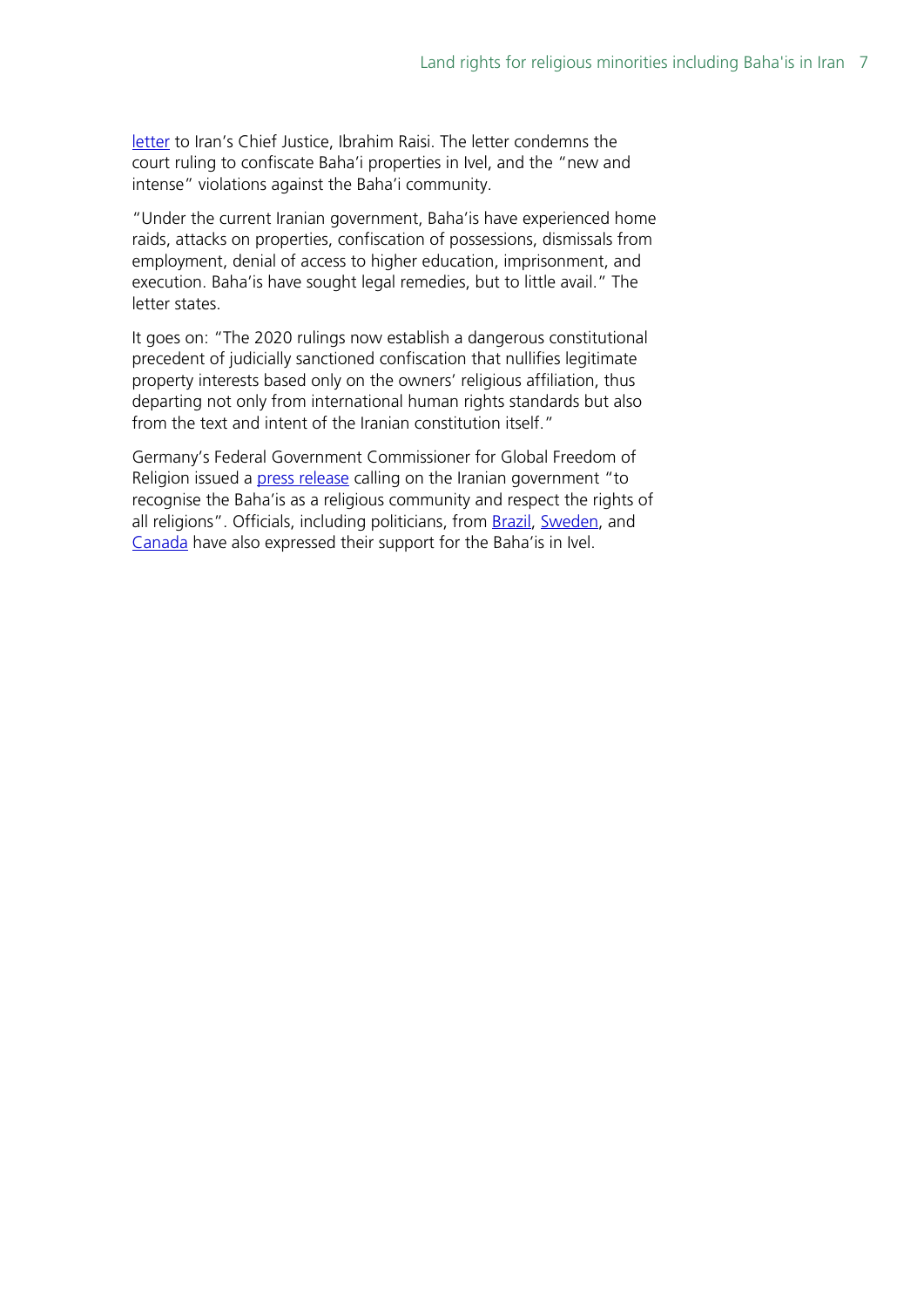[letter](https://openletter-ivelbahais.ca/?fbclid=IwAR2ENlsK9CYrybzeUXjc72vy_-8aasY0DFwcgvf_e4dOfm50vCraB2oJc1k) to Iran's Chief Justice, Ibrahim Raisi. The letter condemns the court ruling to confiscate Baha'i properties in Ivel, and the "new and intense" violations against the Baha'i community.

"Under the current Iranian government, Baha'is have experienced home raids, attacks on properties, confiscation of possessions, dismissals from employment, denial of access to higher education, imprisonment, and execution. Baha'is have sought legal remedies, but to little avail." The letter states.

It goes on: "The 2020 rulings now establish a dangerous constitutional precedent of judicially sanctioned confiscation that nullifies legitimate property interests based only on the owners' religious affiliation, thus departing not only from international human rights standards but also from the text and intent of the Iranian constitution itself."

Germany's Federal Government Commissioner for Global Freedom of Religion issued a [press release](https://iran.bahai.de/wp-content/uploads/2021/01/2021_01_1520Press20Realease20Baha27i20Iran_web.pdf) calling on the Iranian government "to recognise the Baha'is as a religious community and respect the rights of all religions". Officials, including politicians, from [Brazil,](https://twitter.com/freianastaciopt/status/1356947631474434050) [Sweden,](https://twitter.com/annikabendavid) and [Canada](https://twitter.com/MarcGarneau/status/1352612599154827266) have also expressed their support for the Baha'is in Ivel.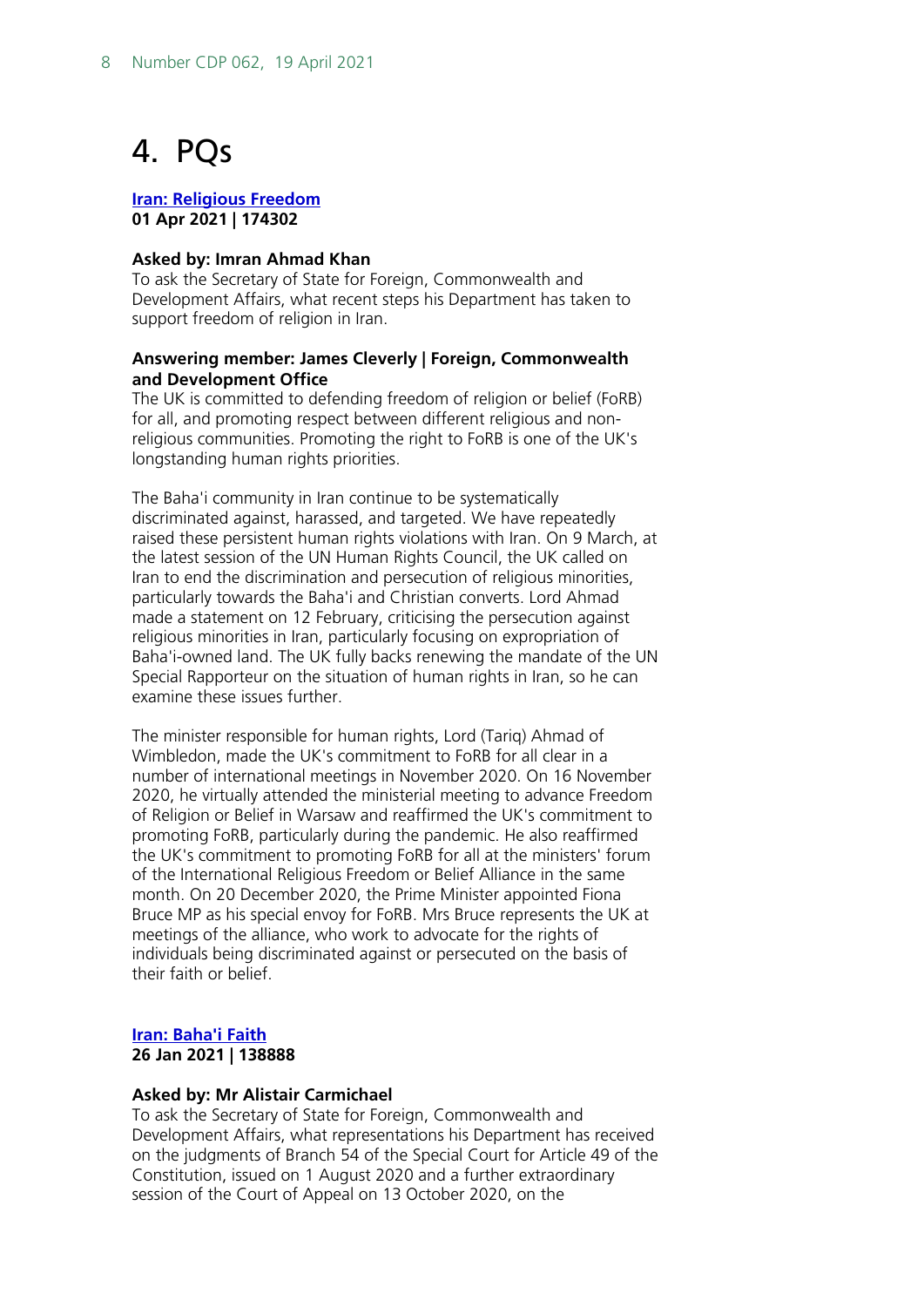# <span id="page-7-0"></span>4. PQs

**[Iran: Religious Freedom](http://www.parliament.uk/written-questions-answers-statements/written-question/commons/2021-03-23/174302) 01 Apr 2021 | 174302**

### **Asked by: Imran Ahmad Khan**

To ask the Secretary of State for Foreign, Commonwealth and Development Affairs, what recent steps his Department has taken to support freedom of religion in Iran.

### **Answering member: James Cleverly | Foreign, Commonwealth and Development Office**

The UK is committed to defending freedom of religion or belief (FoRB) for all, and promoting respect between different religious and nonreligious communities. Promoting the right to FoRB is one of the UK's longstanding human rights priorities.

The Baha'i community in Iran continue to be systematically discriminated against, harassed, and targeted. We have repeatedly raised these persistent human rights violations with Iran. On 9 March, at the latest session of the UN Human Rights Council, the UK called on Iran to end the discrimination and persecution of religious minorities, particularly towards the Baha'i and Christian converts. Lord Ahmad made a statement on 12 February, criticising the persecution against religious minorities in Iran, particularly focusing on expropriation of Baha'i-owned land. The UK fully backs renewing the mandate of the UN Special Rapporteur on the situation of human rights in Iran, so he can examine these issues further.

The minister responsible for human rights, Lord (Tariq) Ahmad of Wimbledon, made the UK's commitment to FoRB for all clear in a number of international meetings in November 2020. On 16 November 2020, he virtually attended the ministerial meeting to advance Freedom of Religion or Belief in Warsaw and reaffirmed the UK's commitment to promoting FoRB, particularly during the pandemic. He also reaffirmed the UK's commitment to promoting FoRB for all at the ministers' forum of the International Religious Freedom or Belief Alliance in the same month. On 20 December 2020, the Prime Minister appointed Fiona Bruce MP as his special envoy for FoRB. Mrs Bruce represents the UK at meetings of the alliance, who work to advocate for the rights of individuals being discriminated against or persecuted on the basis of their faith or belief.

#### **[Iran: Baha'i Faith](http://www.parliament.uk/written-questions-answers-statements/written-question/commons/2021-01-18/138888) 26 Jan 2021 | 138888**

#### **Asked by: Mr Alistair Carmichael**

To ask the Secretary of State for Foreign, Commonwealth and Development Affairs, what representations his Department has received on the judgments of Branch 54 of the Special Court for Article 49 of the Constitution, issued on 1 August 2020 and a further extraordinary session of the Court of Appeal on 13 October 2020, on the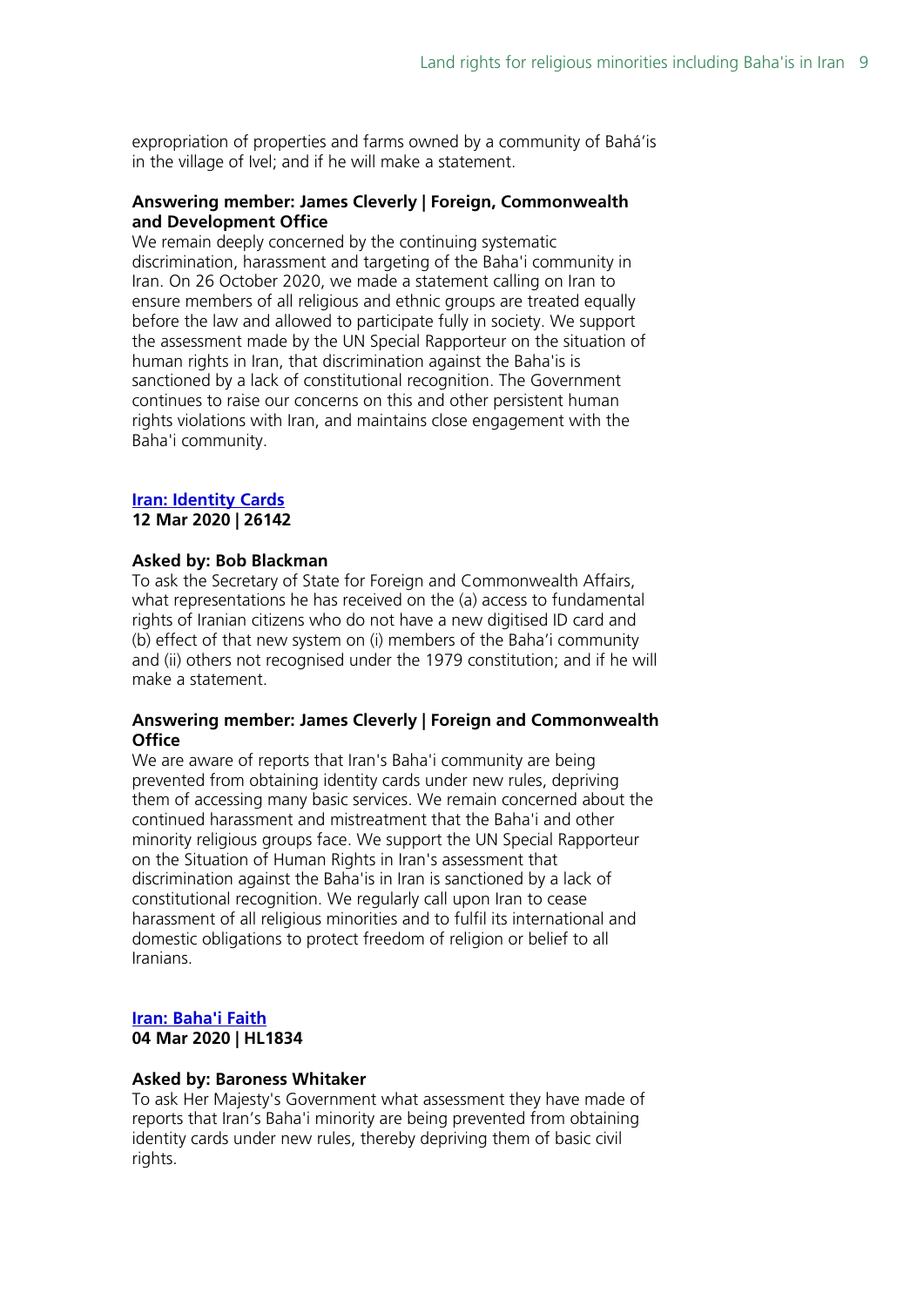expropriation of properties and farms owned by a community of Bahá'is in the village of Ivel; and if he will make a statement.

### **Answering member: James Cleverly | Foreign, Commonwealth and Development Office**

We remain deeply concerned by the continuing systematic discrimination, harassment and targeting of the Baha'i community in Iran. On 26 October 2020, we made a statement calling on Iran to ensure members of all religious and ethnic groups are treated equally before the law and allowed to participate fully in society. We support the assessment made by the UN Special Rapporteur on the situation of human rights in Iran, that discrimination against the Baha'is is sanctioned by a lack of constitutional recognition. The Government continues to raise our concerns on this and other persistent human rights violations with Iran, and maintains close engagement with the Baha'i community.

# **[Iran: Identity Cards](http://www.parliament.uk/written-questions-answers-statements/written-question/commons/2020-03-06/26142)**

**12 Mar 2020 | 26142**

# **Asked by: Bob Blackman**

To ask the Secretary of State for Foreign and Commonwealth Affairs, what representations he has received on the (a) access to fundamental rights of Iranian citizens who do not have a new digitised ID card and (b) effect of that new system on (i) members of the Baha'i community and (ii) others not recognised under the 1979 constitution; and if he will make a statement.

# **Answering member: James Cleverly | Foreign and Commonwealth Office**

We are aware of reports that Iran's Baha'i community are being prevented from obtaining identity cards under new rules, depriving them of accessing many basic services. We remain concerned about the continued harassment and mistreatment that the Baha'i and other minority religious groups face. We support the UN Special Rapporteur on the Situation of Human Rights in Iran's assessment that discrimination against the Baha'is in Iran is sanctioned by a lack of constitutional recognition. We regularly call upon Iran to cease harassment of all religious minorities and to fulfil its international and domestic obligations to protect freedom of religion or belief to all Iranians.

# **[Iran: Baha'i Faith](http://www.parliament.uk/written-questions-answers-statements/written-question/lords/2020-02-24/HL1834) 04 Mar 2020 | HL1834**

#### **Asked by: Baroness Whitaker**

To ask Her Majesty's Government what assessment they have made of reports that Iran's Baha'i minority are being prevented from obtaining identity cards under new rules, thereby depriving them of basic civil rights.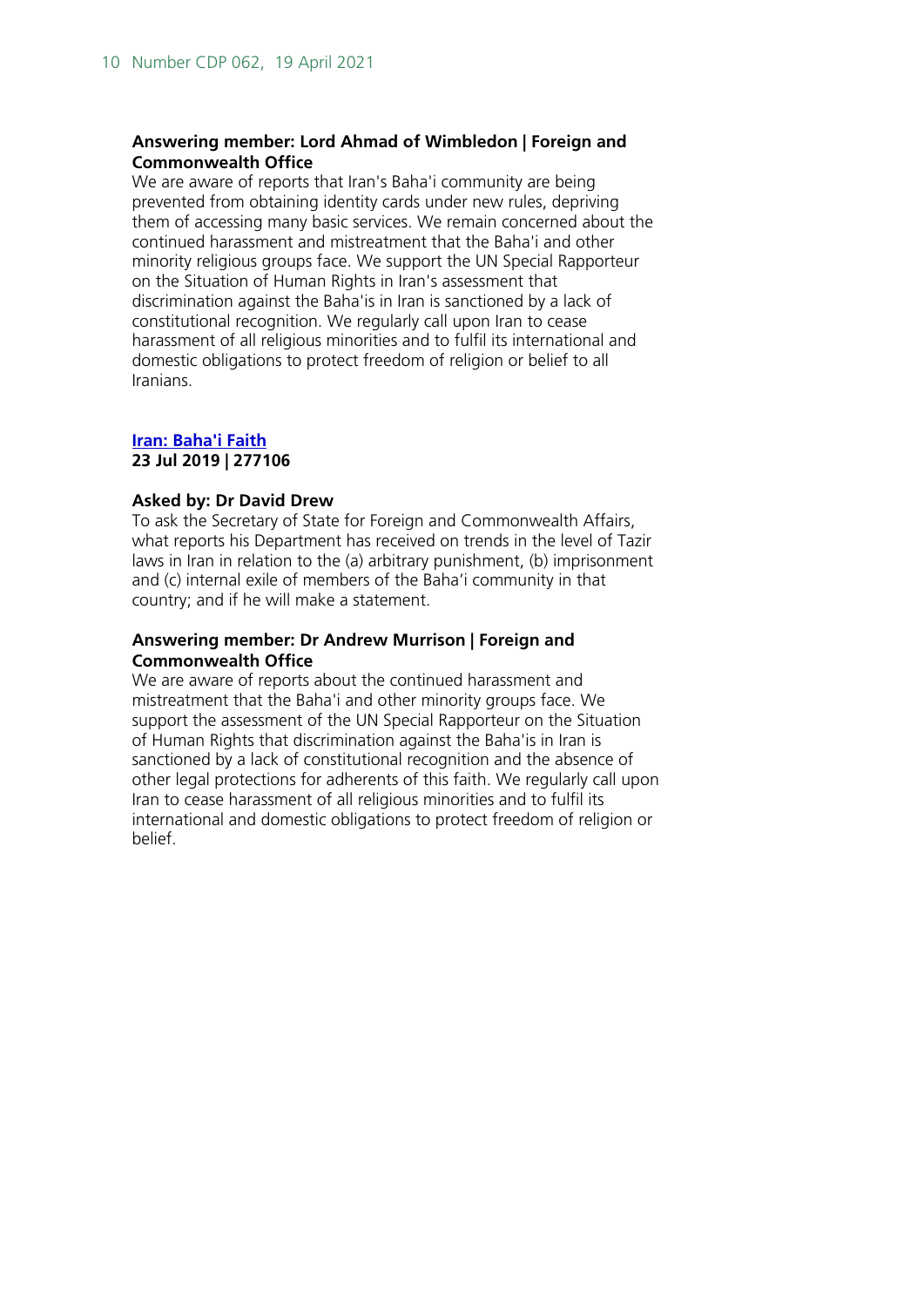# **Answering member: Lord Ahmad of Wimbledon | Foreign and Commonwealth Office**

We are aware of reports that Iran's Baha'i community are being prevented from obtaining identity cards under new rules, depriving them of accessing many basic services. We remain concerned about the continued harassment and mistreatment that the Baha'i and other minority religious groups face. We support the UN Special Rapporteur on the Situation of Human Rights in Iran's assessment that discrimination against the Baha'is in Iran is sanctioned by a lack of constitutional recognition. We regularly call upon Iran to cease harassment of all religious minorities and to fulfil its international and domestic obligations to protect freedom of religion or belief to all Iranians.

# **[Iran: Baha'i Faith](http://www.parliament.uk/written-questions-answers-statements/written-question/commons/2019-07-15/277106) 23 Jul 2019 | 277106**

#### **Asked by: Dr David Drew**

To ask the Secretary of State for Foreign and Commonwealth Affairs, what reports his Department has received on trends in the level of Tazir laws in Iran in relation to the (a) arbitrary punishment, (b) imprisonment and (c) internal exile of members of the Baha'i community in that country; and if he will make a statement.

# **Answering member: Dr Andrew Murrison | Foreign and Commonwealth Office**

We are aware of reports about the continued harassment and mistreatment that the Baha'i and other minority groups face. We support the assessment of the UN Special Rapporteur on the Situation of Human Rights that discrimination against the Baha'is in Iran is sanctioned by a lack of constitutional recognition and the absence of other legal protections for adherents of this faith. We regularly call upon Iran to cease harassment of all religious minorities and to fulfil its international and domestic obligations to protect freedom of religion or belief.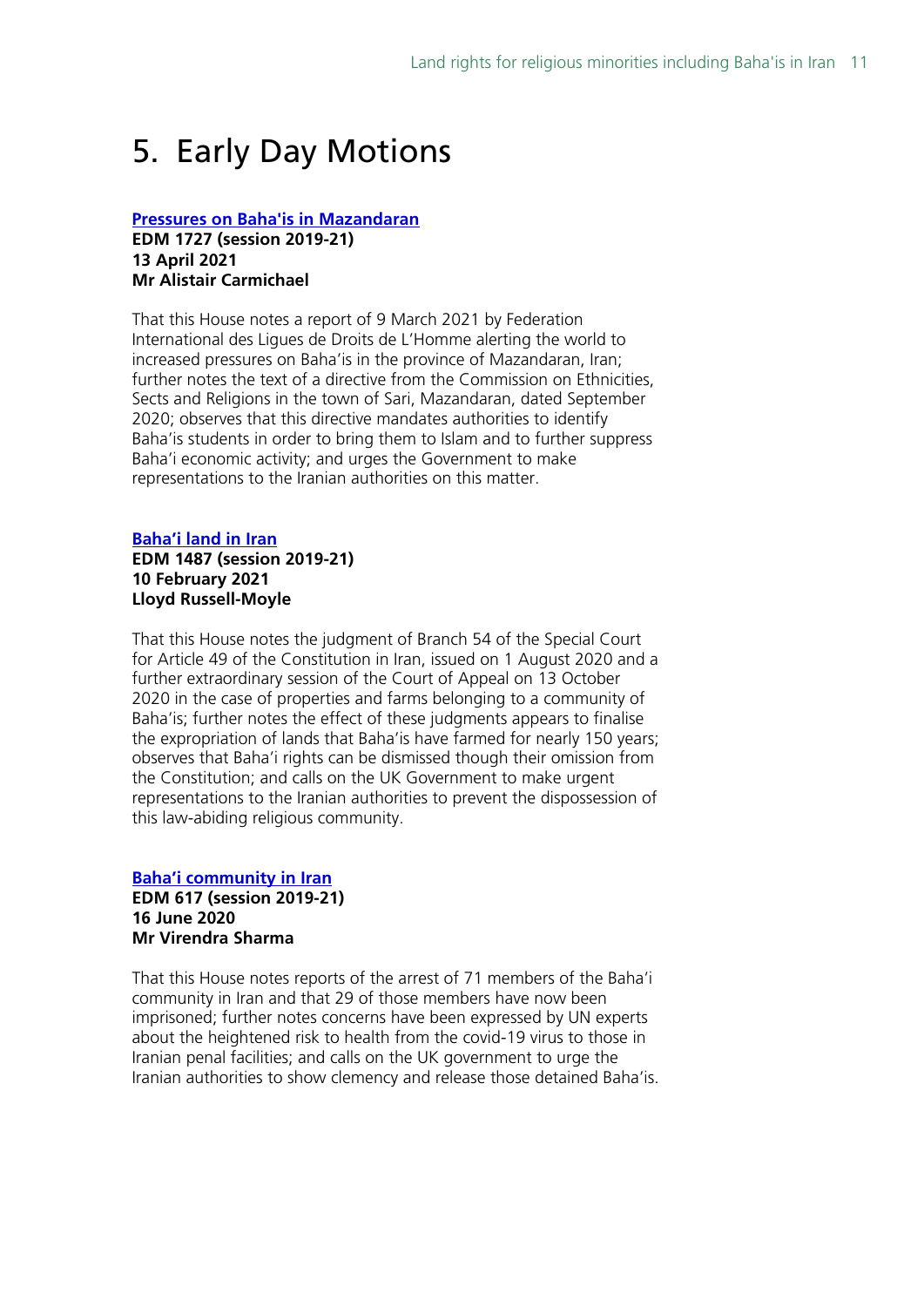# <span id="page-10-0"></span>5. Early Day Motions

# **[Pressures on Baha'is in Mazandaran](http://www.parliament.uk/edm/2019-21/1727)**

**EDM 1727 (session 2019-21) 13 April 2021 Mr Alistair Carmichael**

That this House notes a report of 9 March 2021 by Federation International des Ligues de Droits de L'Homme alerting the world to increased pressures on Baha'is in the province of Mazandaran, Iran; further notes the text of a directive from the Commission on Ethnicities, Sects and Religions in the town of Sari, Mazandaran, dated September 2020; observes that this directive mandates authorities to identify Baha'is students in order to bring them to Islam and to further suppress Baha'i economic activity; and urges the Government to make representations to the Iranian authorities on this matter.

# **[Baha'i land in Iran](http://www.parliament.uk/edm/2019-21/1487)**

# **EDM 1487 (session 2019-21) 10 February 2021 Lloyd Russell-Moyle**

That this House notes the judgment of Branch 54 of the Special Court for Article 49 of the Constitution in Iran, issued on 1 August 2020 and a further extraordinary session of the Court of Appeal on 13 October 2020 in the case of properties and farms belonging to a community of Baha'is; further notes the effect of these judgments appears to finalise the expropriation of lands that Baha'is have farmed for nearly 150 years; observes that Baha'i rights can be dismissed though their omission from the Constitution; and calls on the UK Government to make urgent representations to the Iranian authorities to prevent the dispossession of this law-abiding religious community.

### **[Baha'i community in Iran](http://www.parliament.uk/edm/2019-21/617) EDM 617 (session 2019-21) 16 June 2020 Mr Virendra Sharma**

That this House notes reports of the arrest of 71 members of the Baha'i community in Iran and that 29 of those members have now been imprisoned; further notes concerns have been expressed by UN experts about the heightened risk to health from the covid-19 virus to those in Iranian penal facilities; and calls on the UK government to urge the Iranian authorities to show clemency and release those detained Baha'is.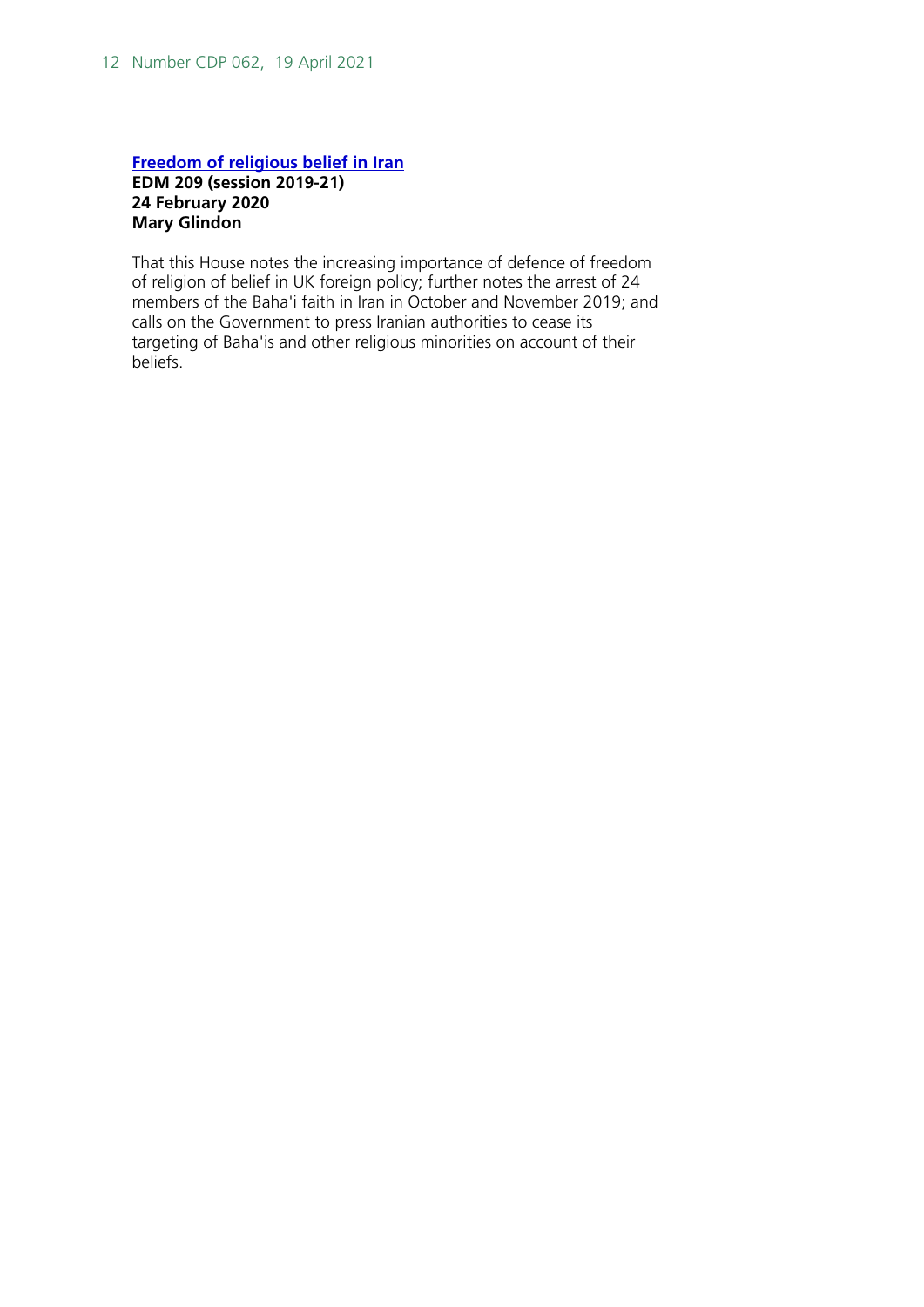# **[Freedom of religious belief in Iran](http://www.parliament.uk/edm/2019-21/209) EDM 209 (session 2019-21) 24 February 2020 Mary Glindon**

That this House notes the increasing importance of defence of freedom of religion of belief in UK foreign policy; further notes the arrest of 24 members of the Baha'i faith in Iran in October and November 2019; and calls on the Government to press Iranian authorities to cease its targeting of Baha'is and other religious minorities on account of their beliefs.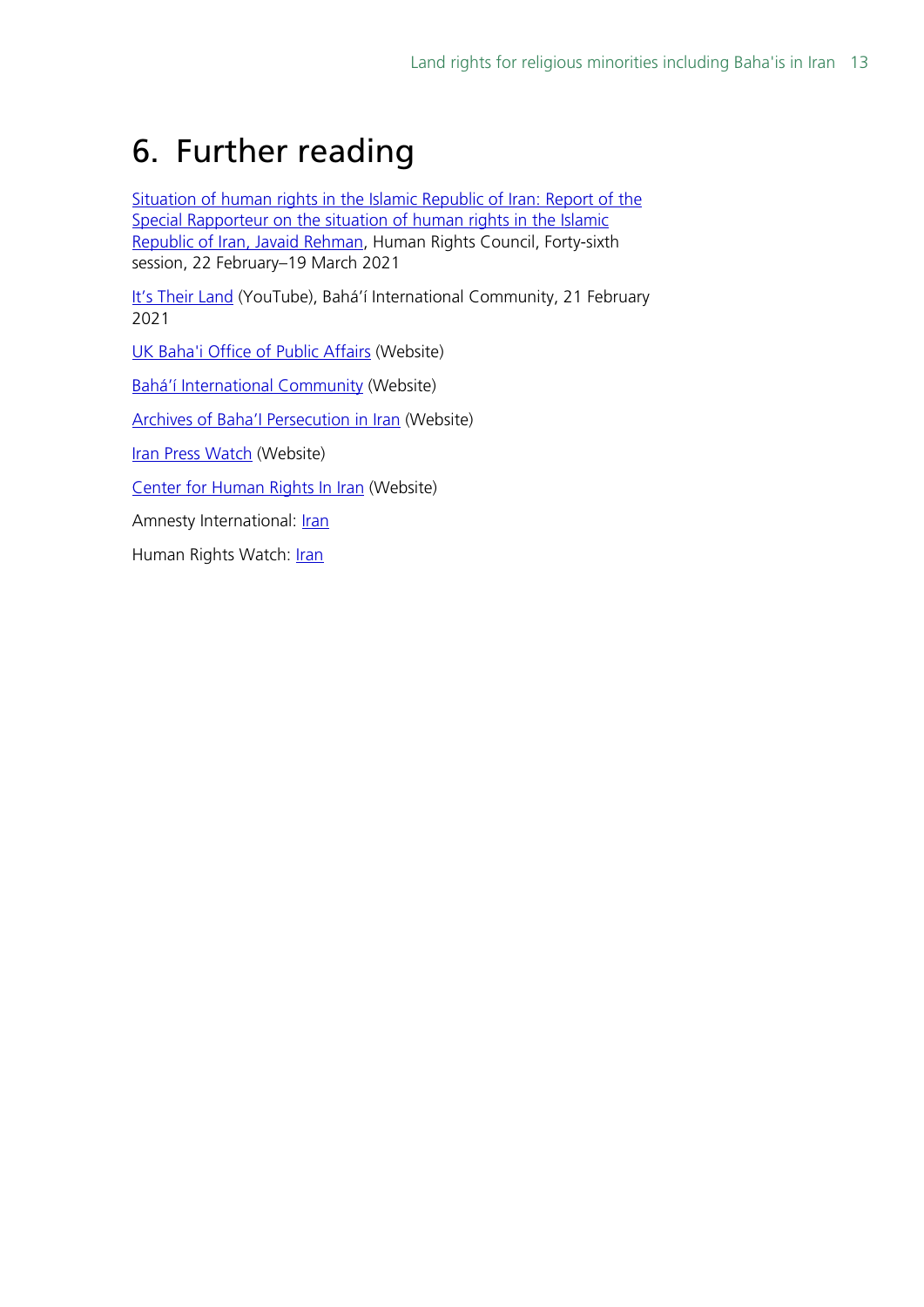# <span id="page-12-0"></span>6. Further reading

[Situation of human rights in the Islamic Republic of Iran: Report of the](https://undocs.org/en/A/hrc/46/50)  [Special Rapporteur on the situation of human rights in the Islamic](https://undocs.org/en/A/hrc/46/50)  [Republic of Iran, Javaid Rehman,](https://undocs.org/en/A/hrc/46/50) Human Rights Council, Forty-sixth session, 22 February–19 March 2021

[It's Their Land](https://www.youtube.com/watch?v=-TWoyFUzUIE) (YouTube), Bahá'í International Community, 21 February 2021

[UK Baha'i Office of Public Affairs](https://www.publicaffairs.bahai.org.uk/) (Website)

[Bahá'í International Community](https://www.bic.org/about/about-us) (Website)

[Archives of Baha'I Persecution in Iran](https://iranbahaipersecution.bic.org/) (Website)

[Iran Press Watch](http://iranpresswatch.org/) (Website)

[Center for Human Rights In Iran](https://iranhumanrights.org/) (Website)

Amnesty International: [Iran](https://www.amnesty.org/en/countries/middle-east-and-north-africa/iran/)

Human Rights Watch: [Iran](https://www.hrw.org/middle-east/north-africa/iran)